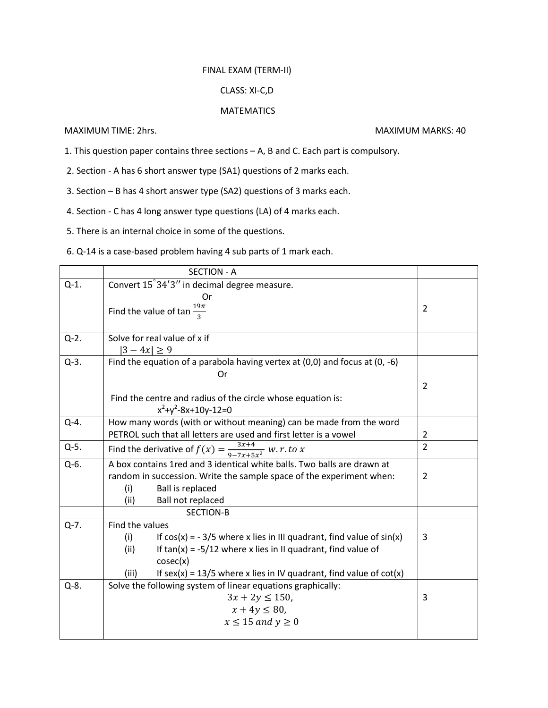## FINAL EXAM (TERM-II)

## CLASS: XI-C,D

## **MATEMATICS**

MAXIMUM TIME: 2hrs. MAXIMUM MARKS: 40

- 1. This question paper contains three sections A, B and C. Each part is compulsory.
- 2. Section A has 6 short answer type (SA1) questions of 2 marks each.
- 3. Section B has 4 short answer type (SA2) questions of 3 marks each.
- 4. Section C has 4 long answer type questions (LA) of 4 marks each.
- 5. There is an internal choice in some of the questions.
- 6. Q-14 is a case-based problem having 4 sub parts of 1 mark each.

|           | <b>SECTION - A</b>                                                              |                |
|-----------|---------------------------------------------------------------------------------|----------------|
| $Q-1$ .   | Convert 15°34'3" in decimal degree measure.                                     |                |
|           | Or                                                                              |                |
|           | Find the value of $\tan \frac{19\pi}{2}$                                        | $\overline{2}$ |
|           |                                                                                 |                |
| $Q-2$ .   | Solve for real value of x if                                                    |                |
|           | $ 3 - 4x  \ge 9$                                                                |                |
| $Q-3.$    | Find the equation of a parabola having vertex at $(0,0)$ and focus at $(0, -6)$ |                |
|           | Or                                                                              |                |
|           |                                                                                 | 2              |
|           | Find the centre and radius of the circle whose equation is:                     |                |
|           | $x^2+y^2-8x+10y-12=0$                                                           |                |
| $Q-4$ .   | How many words (with or without meaning) can be made from the word              |                |
|           | PETROL such that all letters are used and first letter is a vowel               | 2              |
| $Q-5$ .   | Find the derivative of $f(x) = \frac{3x+4}{9-7x+5x^2}$ w. r. to x               | $\overline{2}$ |
| Q-6.      | A box contains 1red and 3 identical white balls. Two balls are drawn at         |                |
|           | random in succession. Write the sample space of the experiment when:            | 2              |
|           | <b>Ball is replaced</b><br>(i)                                                  |                |
|           | Ball not replaced<br>(ii)                                                       |                |
|           | <b>SECTION-B</b>                                                                |                |
| $Q-7.$    | Find the values                                                                 |                |
|           | If $cos(x) = -3/5$ where x lies in III quadrant, find value of $sin(x)$<br>(i)  | 3              |
|           | If $tan(x) = -5/12$ where x lies in II quadrant, find value of<br>(ii)          |                |
|           | cosec(x)                                                                        |                |
|           | If $sex(x) = 13/5$ where x lies in IV quadrant, find value of $cot(x)$<br>(iii) |                |
| $Q - 8$ . | Solve the following system of linear equations graphically:                     |                |
|           | $3x + 2y \le 150$ ,                                                             | 3              |
|           | $x + 4y \le 80$ ,                                                               |                |
|           | $x \le 15$ and $y \ge 0$                                                        |                |
|           |                                                                                 |                |